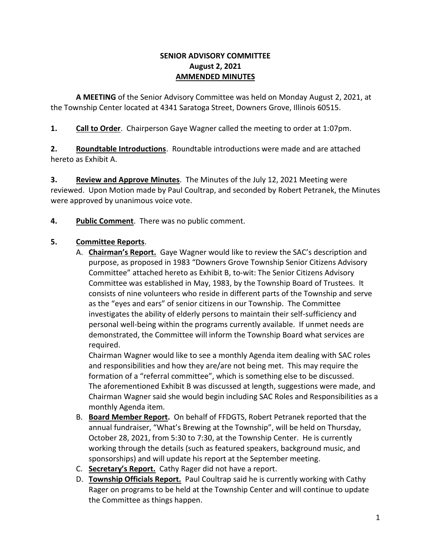### **SENIOR ADVISORY COMMITTEE August 2, 2021 AMMENDED MINUTES**

**A MEETING** of the Senior Advisory Committee was held on Monday August 2, 2021, at the Township Center located at 4341 Saratoga Street, Downers Grove, Illinois 60515.

**1. Call to Order**. Chairperson Gaye Wagner called the meeting to order at 1:07pm.

**2. Roundtable Introductions**. Roundtable introductions were made and are attached hereto as Exhibit A.

**3. Review and Approve Minutes**. The Minutes of the July 12, 2021 Meeting were reviewed. Upon Motion made by Paul Coultrap, and seconded by Robert Petranek, the Minutes were approved by unanimous voice vote.

**4. Public Comment**. There was no public comment.

# **5. Committee Reports**.

A. **Chairman's Report.** Gaye Wagner would like to review the SAC's description and purpose, as proposed in 1983 "Downers Grove Township Senior Citizens Advisory Committee" attached hereto as Exhibit B, to-wit: The Senior Citizens Advisory Committee was established in May, 1983, by the Township Board of Trustees. It consists of nine volunteers who reside in different parts of the Township and serve as the "eyes and ears" of senior citizens in our Township. The Committee investigates the ability of elderly persons to maintain their self-sufficiency and personal well-being within the programs currently available. If unmet needs are demonstrated, the Committee will inform the Township Board what services are required.

Chairman Wagner would like to see a monthly Agenda item dealing with SAC roles and responsibilities and how they are/are not being met. This may require the formation of a "referral committee", which is something else to be discussed. The aforementioned Exhibit B was discussed at length, suggestions were made, and Chairman Wagner said she would begin including SAC Roles and Responsibilities as a monthly Agenda item.

- B. **Board Member Report.** On behalf of FFDGTS, Robert Petranek reported that the annual fundraiser, "What's Brewing at the Township", will be held on Thursday, October 28, 2021, from 5:30 to 7:30, at the Township Center. He is currently working through the details (such as featured speakers, background music, and sponsorships) and will update his report at the September meeting.
- C. **Secretary's Report.** Cathy Rager did not have a report.
- D. **Township Officials Report.** Paul Coultrap said he is currently working with Cathy Rager on programs to be held at the Township Center and will continue to update the Committee as things happen.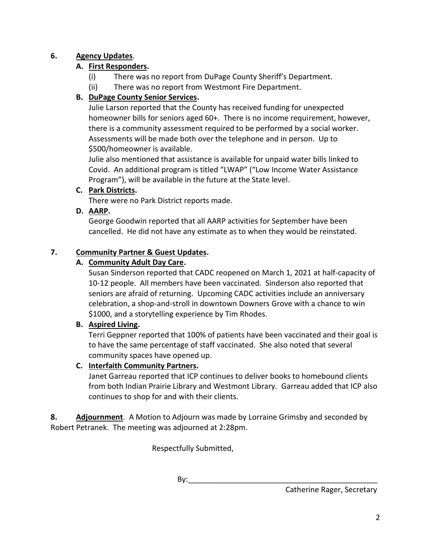## **6. Agency Updates**.

## **A. First Responders.**

- (i) There was no report from DuPage County Sheriff's Department.
- (ii) There was no report from Westmont Fire Department.

## **B. DuPage County Senior Services.**

Julie Larson reported that the County has received funding for unexpected homeowner bills for seniors aged 60+. There is no income requirement, however, there is a community assessment required to be performed by a social worker. Assessments will be made both over the telephone and in person. Up to \$500/homeowner is available.

Julie also mentioned that assistance is available for unpaid water bills linked to Covid. An additional program is titled "LWAP" ("Low Income Water Assistance Program"), will be available in the future at the State level.

### **C. Park Districts.**

There were no Park District reports made.

### **D. AARP.**

George Goodwin reported that all AARP activities for September have been cancelled. He did not have any estimate as to when they would be reinstated.

### **7. Community Partner & Guest Updates.**

### **A. Community Adult Day Care.**

Susan Sinderson reported that CADC reopened on March 1, 2021 at half-capacity of 10-12 people. All members have been vaccinated. Sinderson also reported that seniors are afraid of returning. Upcoming CADC activities include an anniversary celebration, a shop-and-stroll in downtown Downers Grove with a chance to win \$1000, and a storytelling experience by Tim Rhodes.

### **B. Aspired Living.**

Terri Geppner reported that 100% of patients have been vaccinated and their goal is to have the same percentage of staff vaccinated. She also noted that several community spaces have opened up.

### **C. Interfaith Community Partners.**

Janet Garreau reported that ICP continues to deliver books to homebound clients from both Indian Prairie Library and Westmont Library. Garreau added that ICP also continues to shop for and with their clients.

**8. Adjournment**. A Motion to Adjourn was made by Lorraine Grimsby and seconded by Robert Petranek. The meeting was adjourned at 2:28pm.

Respectfully Submitted,

By: $\_\_$ 

Catherine Rager, Secretary